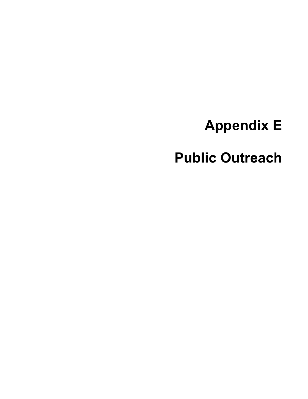# **Appendix E**

**Public Outreach**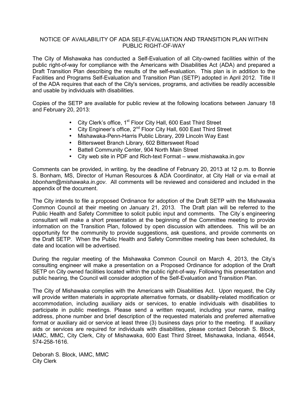### NOTICE OF AVAILABILITY OF ADA SELF-EVALUATION AND TRANSITION PLAN WITHIN PUBLIC RIGHT-OF-WAY

The City of Mishawaka has conducted a Self-Evaluation of all City-owned facilities within of the public right-of-way for compliance with the Americans with Disabilities Act (ADA) and prepared a Draft Transition Plan describing the results of the self-evaluation. This plan is in addition to the Facilities and Programs Self-Evaluation and Transition Plan (SETP) adopted in April 2012. Title II of the ADA requires that each of the City's services, programs, and activities be readily accessible and usable by individuals with disabilities.

Copies of the SETP are available for public review at the following locations between January 18 and February 20, 2013:

- City Clerk's office, 1<sup>st</sup> Floor City Hall, 600 East Third Street
- City Engineer's office, 2<sup>nd</sup> Floor City Hall, 600 East Third Street
- Mishawaka-Penn-Harris Public Library, 209 Lincoln Way East
- Bittersweet Branch Library, 602 Bittersweet Road
- Battell Community Center, 904 North Main Street
- City web site in PDF and Rich-text Format www.mishawaka.in.gov

Comments can be provided, in writing, by the deadline of February 20, 2013 at 12 p.m. to Bonnie S. Bonham, MS, Director of Human Resources & ADA Coordinator, at City Hall or via e-mail at *bbonham@mishawaka.in.gov*. All comments will be reviewed and considered and included in the appendix of the document.

The City intends to file a proposed Ordinance for adoption of the Draft SETP with the Mishawaka Common Council at their meeting on January 21, 2013. The Draft plan will be referred to the Public Health and Safety Committee to solicit public input and comments. The City`s engineering consultant will make a short presentation at the beginning of the Committee meeting to provide information on the Transition Plan, followed by open discussion with attendees. This will be an opportunity for the community to provide suggestions, ask questions, and provide comments on the Draft SETP. When the Public Health and Safety Committee meeting has been scheduled, its date and location will be advertised.

During the regular meeting of the Mishawaka Common Council on March 4, 2013, the City's consulting engineer will make a presentation on a Proposed Ordinance for adoption of the Draft SETP on City owned facilities located within the public right-of-way. Following this presentation and public hearing, the Council will consider adoption of the Self-Evaluation and Transition Plan.

The City of Mishawaka complies with the Americans with Disabilities Act. Upon request, the City will provide written materials in appropriate alternative formats, or disability-related modification or accommodation, including auxiliary aids or services, to enable individuals with disabilities to participate in public meetings. Please send a written request, including your name, mailing address, phone number and brief description of the requested materials and preferred alternative format or auxiliary aid or service at least three (3) business days prior to the meeting. If auxiliary aids or services are required for individuals with disabilities, please contact Deborah S. Block, IAMC, MMC, City Clerk, City of Mishawaka, 600 East Third Street, Mishawaka, Indiana, 46544, 574-258-1616.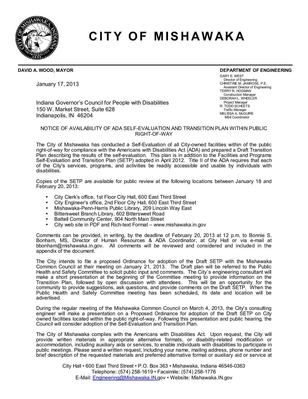

#### **DAVID A. WOOD, MAYOR**

January 17, 2013

Indiana Governor's Council for People with Disabilities 150 W. Market Street, Suite 628 Indianapolis, IN 46204

GARY E. WEST Director of Engineering CHRISTINE M. JAMROSE, P.E. Assistant Director of Engineering TERRY R. HOGMAN Construction Manager DEBORAH L. WHEELER Project Manager R. TODD SCHEETS Traffic Manager MELISSA A. McGUIRE MS4 Coordinator

**DEPARTMENT OF ENGINEERING** 

### NOTICE OF AVAILABILITY OF ADA SELF-EVALUATION AND TRANSITION PLAN WITHIN PUBLIC RIGHT-OF-WAY

The City of Mishawaka has conducted a Self-Evaluation of all City-owned facilities within of the public right-of-way for compliance with the Americans with Disabilities Act (ADA) and prepared a Draft Transition Plan describing the results of the self-evaluation. This plan is in addition to the Facilities and Programs Self-Evaluation and Transition Plan (SETP) adopted in April 2012. Title II of the ADA requires that each of the City's services, programs, and activities be readily accessible and usable by individuals with disabilities.

Copies of the SETP are available for public review at the following locations between January 18 and February 20, 2013:

- City Clerk's office, 1st Floor City Hall, 600 East Third Street
- City Engineer's office, 2nd Floor City Hall, 600 East Third Street
- Mishawaka-Penn-Harris Public Library, 209 Lincoln Way East
- Bittersweet Branch Library, 602 Bittersweet Road
- Battell Community Center, 904 North Main Street
- City web site in PDF and Rich-text Format www.mishawaka.in.gov

Comments can be provided, in writing, by the deadline of February 20, 2013 at 12 p.m. to Bonnie S. Bonham, MS, Director of Human Resources & ADA Coordinator, at City Hall or via e-mail at bbonham@mishawaka.in.gov. All comments will be reviewed and considered and included in the appendix of the document.

The City intends to file a proposed Ordinance for adoption of the Draft SETP with the Mishawaka Common Council at their meeting on January 21, 2013. The Draft plan will be referred to the Public Health and Safety Committee to solicit public input and comments. The City's engineering consultant will make a short presentation at the beginning of the Committee meeting to provide information on the Transition Plan, followed by open discussion with attendees. This will be an opportunity for the community to provide suggestions, ask questions, and provide comments on the Draft SETP. When the Public Health and Safety Committee meeting has been scheduled, its date and location will be advertised.

During the regular meeting of the Mishawaka Common Council on March 4, 2013, the City's consulting engineer will make a presentation on a Proposed Ordinance for adoption of the Draft SETP on City owned facilities located within the public right-of-way. Following this presentation and public hearing, the Council will consider adoption of the Self-Evaluation and Transition Plan.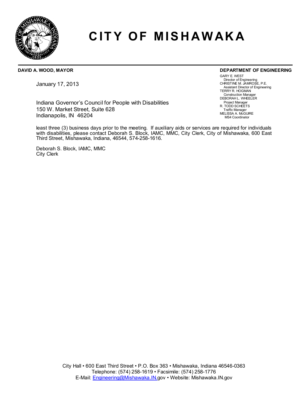

### **DAVID A. WOOD, MAYOR**

January 17, 2013

Indiana Governor's Council for People with Disabilities 150 W. Market Street, Suite 628 Indianapolis, IN 46204

GARY E. WEST Director of Engineering CHRISTINE M. JAMROSE, P.E. Assistant Director of Engineering TERRY R. HOGMAN Construction Manager DEBORAH L. WHEELER Project Manager R. TODD SCHEETS Traffic Manager MELISSA A. McGUIRE MS4 Coordinator

**DEPARTMENT OF ENGINEERING** 

least three (3) business days prior to the meeting. If auxiliary aids or services are required for individuals with disabilities, please contact Deborah S. Block, IAMC, MMC, City Clerk, City of Mishawaka, 600 East Third Street, Mishawaka, Indiana, 46544, 574-258-1616.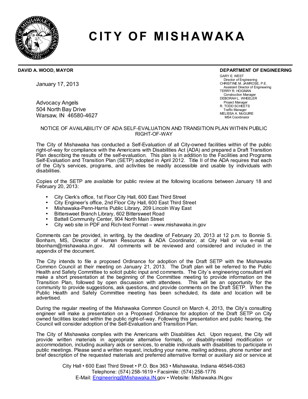

#### **DAVID A. WOOD, MAYOR**

### **DEPARTMENT OF ENGINEERING**

January 17, 2013

Advocacy Angels 504 North Bay Drive Warsaw, IN 46580-4627 GARY E. WEST Director of Engineering CHRISTINE M. JAMROSE, P.E. Assistant Director of Engineering TERRY R. HOGMAN Construction Manager DEBORAH L. WHEELER Project Manager R. TODD SCHEETS Traffic Manager MELISSA A. McGUIRE MS4 Coordinator

### NOTICE OF AVAILABILITY OF ADA SELF-EVALUATION AND TRANSITION PLAN WITHIN PUBLIC RIGHT-OF-WAY

The City of Mishawaka has conducted a Self-Evaluation of all City-owned facilities within of the public right-of-way for compliance with the Americans with Disabilities Act (ADA) and prepared a Draft Transition Plan describing the results of the self-evaluation. This plan is in addition to the Facilities and Programs Self-Evaluation and Transition Plan (SETP) adopted in April 2012. Title II of the ADA requires that each of the City's services, programs, and activities be readily accessible and usable by individuals with disabilities.

Copies of the SETP are available for public review at the following locations between January 18 and February 20, 2013:

- City Clerk's office, 1st Floor City Hall, 600 East Third Street
- City Engineer's office, 2nd Floor City Hall, 600 East Third Street
- Mishawaka-Penn-Harris Public Library, 209 Lincoln Way East
- Bittersweet Branch Library, 602 Bittersweet Road
- Battell Community Center, 904 North Main Street
- City web site in PDF and Rich-text Format www.mishawaka.in.gov

Comments can be provided, in writing, by the deadline of February 20, 2013 at 12 p.m. to Bonnie S. Bonham, MS, Director of Human Resources & ADA Coordinator, at City Hall or via e-mail at bbonham@mishawaka.in.gov. All comments will be reviewed and considered and included in the appendix of the document.

The City intends to file a proposed Ordinance for adoption of the Draft SETP with the Mishawaka Common Council at their meeting on January 21, 2013. The Draft plan will be referred to the Public Health and Safety Committee to solicit public input and comments. The City's engineering consultant will make a short presentation at the beginning of the Committee meeting to provide information on the Transition Plan, followed by open discussion with attendees. This will be an opportunity for the community to provide suggestions, ask questions, and provide comments on the Draft SETP. When the Public Health and Safety Committee meeting has been scheduled, its date and location will be advertised.

During the regular meeting of the Mishawaka Common Council on March 4, 2013, the City's consulting engineer will make a presentation on a Proposed Ordinance for adoption of the Draft SETP on City owned facilities located within the public right-of-way. Following this presentation and public hearing, the Council will consider adoption of the Self-Evaluation and Transition Plan.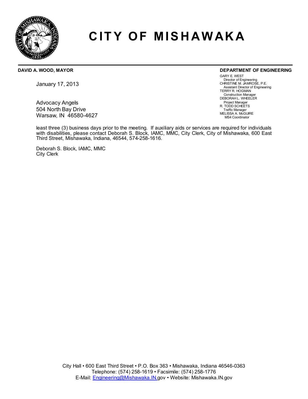

#### **DAVID A. WOOD, MAYOR**

January 17, 2013

Advocacy Angels 504 North Bay Drive Warsaw, IN 46580-4627 GARY E. WEST Director of Engineering CHRISTINE M. JAMROSE, P.E. Assistant Director of Engineering TERRY R. HOGMAN Construction Manager DEBORAH L. WHEELER Project Manager R. TODD SCHEETS Traffic Manager MELISSA A. McGUIRE MS4 Coordinator

**DEPARTMENT OF ENGINEERING** 

least three (3) business days prior to the meeting. If auxiliary aids or services are required for individuals with disabilities, please contact Deborah S. Block, IAMC, MMC, City Clerk, City of Mishawaka, 600 East Third Street, Mishawaka, Indiana, 46544, 574-258-1616.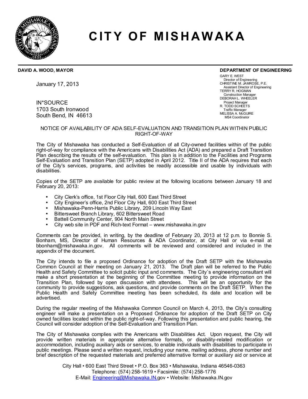

**DAVID A. WOOD, MAYOR** 

#### **DEPARTMENT OF ENGINEERING**

January 17, 2013

IN\*SOURCE 1703 South Ironwood South Bend, IN 46613 GARY E. WEST Director of Engineering CHRISTINE M. JAMROSE, P.E. Assistant Director of Engineering TERRY R. HOGMAN Construction Manager DEBORAH L. WHEELER Project Manager R. TODD SCHEETS Traffic Manager MELISSA A. McGUIRE MS4 Coordinator

### NOTICE OF AVAILABILITY OF ADA SELF-EVALUATION AND TRANSITION PLAN WITHIN PUBLIC RIGHT-OF-WAY

The City of Mishawaka has conducted a Self-Evaluation of all City-owned facilities within of the public right-of-way for compliance with the Americans with Disabilities Act (ADA) and prepared a Draft Transition Plan describing the results of the self-evaluation. This plan is in addition to the Facilities and Programs Self-Evaluation and Transition Plan (SETP) adopted in April 2012. Title II of the ADA requires that each of the City's services, programs, and activities be readily accessible and usable by individuals with disabilities.

Copies of the SETP are available for public review at the following locations between January 18 and February 20, 2013:

- City Clerk's office, 1st Floor City Hall, 600 East Third Street
- City Engineer's office, 2nd Floor City Hall, 600 East Third Street
- Mishawaka-Penn-Harris Public Library, 209 Lincoln Way East
- Bittersweet Branch Library, 602 Bittersweet Road
- Battell Community Center, 904 North Main Street
- City web site in PDF and Rich-text Format www.mishawaka.in.gov

Comments can be provided, in writing, by the deadline of February 20, 2013 at 12 p.m. to Bonnie S. Bonham, MS, Director of Human Resources & ADA Coordinator, at City Hall or via e-mail at bbonham@mishawaka.in.gov. All comments will be reviewed and considered and included in the appendix of the document.

The City intends to file a proposed Ordinance for adoption of the Draft SETP with the Mishawaka Common Council at their meeting on January 21, 2013. The Draft plan will be referred to the Public Health and Safety Committee to solicit public input and comments. The City's engineering consultant will make a short presentation at the beginning of the Committee meeting to provide information on the Transition Plan, followed by open discussion with attendees. This will be an opportunity for the community to provide suggestions, ask questions, and provide comments on the Draft SETP. When the Public Health and Safety Committee meeting has been scheduled, its date and location will be advertised.

During the regular meeting of the Mishawaka Common Council on March 4, 2013, the City's consulting engineer will make a presentation on a Proposed Ordinance for adoption of the Draft SETP on City owned facilities located within the public right-of-way. Following this presentation and public hearing, the Council will consider adoption of the Self-Evaluation and Transition Plan.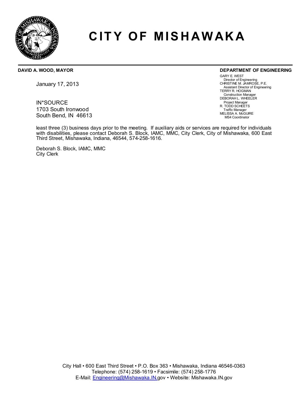

#### **DAVID A. WOOD, MAYOR**

January 17, 2013

IN\*SOURCE 1703 South Ironwood South Bend, IN 46613 GARY E. WEST Director of Engineering CHRISTINE M. JAMROSE, P.E. Assistant Director of Engineering TERRY R. HOGMAN Construction Manager DEBORAH L. WHEELER Project Manager R. TODD SCHEETS Traffic Manager MELISSA A. McGUIRE MS4 Coordinator

**DEPARTMENT OF ENGINEERING** 

least three (3) business days prior to the meeting. If auxiliary aids or services are required for individuals with disabilities, please contact Deborah S. Block, IAMC, MMC, City Clerk, City of Mishawaka, 600 East Third Street, Mishawaka, Indiana, 46544, 574-258-1616.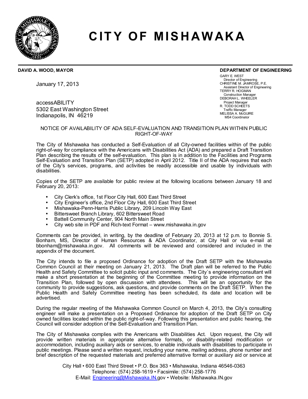

#### **DAVID A. WOOD, MAYOR**

### **DEPARTMENT OF ENGINEERING**

January 17, 2013

accessABILITY 5302 East Washington Street Indianapolis, IN 46219

GARY E. WEST Director of Engineering CHRISTINE M. JAMROSE, P.E. Assistant Director of Engineering TERRY R. HOGMAN Construction Manager DEBORAH L. WHEELER Project Manager R. TODD SCHEETS Traffic Manager MELISSA A. McGUIRE MS4 Coordinator

### NOTICE OF AVAILABILITY OF ADA SELF-EVALUATION AND TRANSITION PLAN WITHIN PUBLIC RIGHT-OF-WAY

The City of Mishawaka has conducted a Self-Evaluation of all City-owned facilities within of the public right-of-way for compliance with the Americans with Disabilities Act (ADA) and prepared a Draft Transition Plan describing the results of the self-evaluation. This plan is in addition to the Facilities and Programs Self-Evaluation and Transition Plan (SETP) adopted in April 2012. Title II of the ADA requires that each of the City's services, programs, and activities be readily accessible and usable by individuals with disabilities.

Copies of the SETP are available for public review at the following locations between January 18 and February 20, 2013:

- City Clerk's office, 1st Floor City Hall, 600 East Third Street
- City Engineer's office, 2nd Floor City Hall, 600 East Third Street
- Mishawaka-Penn-Harris Public Library, 209 Lincoln Way East
- Bittersweet Branch Library, 602 Bittersweet Road
- Battell Community Center, 904 North Main Street
- City web site in PDF and Rich-text Format www.mishawaka.in.gov

Comments can be provided, in writing, by the deadline of February 20, 2013 at 12 p.m. to Bonnie S. Bonham, MS, Director of Human Resources & ADA Coordinator, at City Hall or via e-mail at bbonham@mishawaka.in.gov. All comments will be reviewed and considered and included in the appendix of the document.

The City intends to file a proposed Ordinance for adoption of the Draft SETP with the Mishawaka Common Council at their meeting on January 21, 2013. The Draft plan will be referred to the Public Health and Safety Committee to solicit public input and comments. The City's engineering consultant will make a short presentation at the beginning of the Committee meeting to provide information on the Transition Plan, followed by open discussion with attendees. This will be an opportunity for the community to provide suggestions, ask questions, and provide comments on the Draft SETP. When the Public Health and Safety Committee meeting has been scheduled, its date and location will be advertised.

During the regular meeting of the Mishawaka Common Council on March 4, 2013, the City's consulting engineer will make a presentation on a Proposed Ordinance for adoption of the Draft SETP on City owned facilities located within the public right-of-way. Following this presentation and public hearing, the Council will consider adoption of the Self-Evaluation and Transition Plan.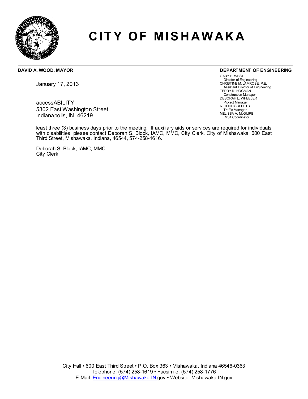

#### **DAVID A. WOOD, MAYOR**

January 17, 2013

accessABILITY 5302 East Washington Street Indianapolis, IN 46219

GARY E. WEST Director of Engineering CHRISTINE M. JAMROSE, P.E. Assistant Director of Engineering TERRY R. HOGMAN Construction Manager DEBORAH L. WHEELER Project Manager R. TODD SCHEETS Traffic Manager MELISSA A. McGUIRE MS4 Coordinator

**DEPARTMENT OF ENGINEERING** 

least three (3) business days prior to the meeting. If auxiliary aids or services are required for individuals with disabilities, please contact Deborah S. Block, IAMC, MMC, City Clerk, City of Mishawaka, 600 East Third Street, Mishawaka, Indiana, 46544, 574-258-1616.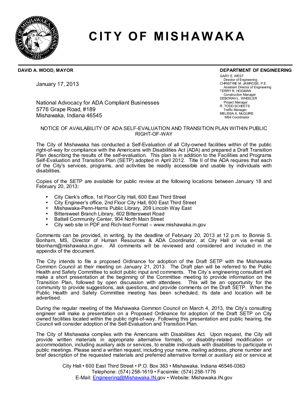

#### **DAVID A. WOOD, MAYOR**

January 17, 2013

National Advocacy for ADA Compliant Businesses 5776 Grape Road, #189 Mishawaka, Indiana 46545

**DEPARTMENT OF ENGINEERING**  GARY E. WEST

 Director of Engineering CHRISTINE M. JAMROSE, P.E. Assistant Director of Engineering TERRY R. HOGMAN Construction Manager DEBORAH L. WHEELER Project Manager R. TODD SCHEETS Traffic Manager MELISSA A. McGUIRE MS4 Coordinator

### NOTICE OF AVAILABILITY OF ADA SELF-EVALUATION AND TRANSITION PLAN WITHIN PUBLIC RIGHT-OF-WAY

The City of Mishawaka has conducted a Self-Evaluation of all City-owned facilities within of the public right-of-way for compliance with the Americans with Disabilities Act (ADA) and prepared a Draft Transition Plan describing the results of the self-evaluation. This plan is in addition to the Facilities and Programs Self-Evaluation and Transition Plan (SETP) adopted in April 2012. Title II of the ADA requires that each of the City's services, programs, and activities be readily accessible and usable by individuals with disabilities.

Copies of the SETP are available for public review at the following locations between January 18 and February 20, 2013:

- City Clerk's office, 1st Floor City Hall, 600 East Third Street
- City Engineer's office, 2nd Floor City Hall, 600 East Third Street
- Mishawaka-Penn-Harris Public Library, 209 Lincoln Way East
- Bittersweet Branch Library, 602 Bittersweet Road
- Battell Community Center, 904 North Main Street
- City web site in PDF and Rich-text Format www.mishawaka.in.gov

Comments can be provided, in writing, by the deadline of February 20, 2013 at 12 p.m. to Bonnie S. Bonham, MS, Director of Human Resources & ADA Coordinator, at City Hall or via e-mail at bbonham@mishawaka.in.gov. All comments will be reviewed and considered and included in the appendix of the document.

The City intends to file a proposed Ordinance for adoption of the Draft SETP with the Mishawaka Common Council at their meeting on January 21, 2013. The Draft plan will be referred to the Public Health and Safety Committee to solicit public input and comments. The City's engineering consultant will make a short presentation at the beginning of the Committee meeting to provide information on the Transition Plan, followed by open discussion with attendees. This will be an opportunity for the community to provide suggestions, ask questions, and provide comments on the Draft SETP. When the Public Health and Safety Committee meeting has been scheduled, its date and location will be advertised.

During the regular meeting of the Mishawaka Common Council on March 4, 2013, the City's consulting engineer will make a presentation on a Proposed Ordinance for adoption of the Draft SETP on City owned facilities located within the public right-of-way. Following this presentation and public hearing, the Council will consider adoption of the Self-Evaluation and Transition Plan.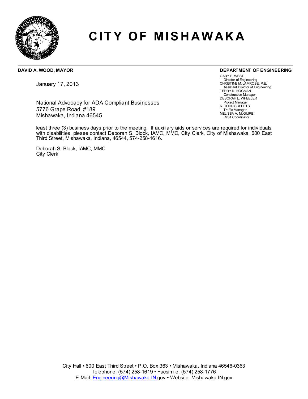

### **DAVID A. WOOD, MAYOR**

January 17, 2013

National Advocacy for ADA Compliant Businesses 5776 Grape Road, #189 Mishawaka, Indiana 46545

GARY E. WEST Director of Engineering CHRISTINE M. JAMROSE, P.E. Assistant Director of Engineering TERRY R. HOGMAN Construction Manager DEBORAH L. WHEELER Project Manager R. TODD SCHEETS Traffic Manager MELISSA A. McGUIRE MS4 Coordinator

**DEPARTMENT OF ENGINEERING** 

least three (3) business days prior to the meeting. If auxiliary aids or services are required for individuals with disabilities, please contact Deborah S. Block, IAMC, MMC, City Clerk, City of Mishawaka, 600 East Third Street, Mishawaka, Indiana, 46544, 574-258-1616.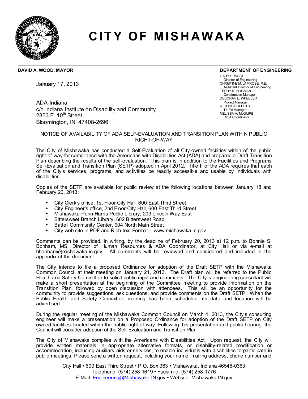

#### **DAVID A. WOOD, MAYOR**

January 17, 2013

ADA-Indiana c/o Indiana Institute on Disability and Community 2853 E.  $10^{th}$  Street Bloomington, IN 47408-2696

**DEPARTMENT OF ENGINEERING** 

GARY E. WEST Director of Engineering CHRISTINE M. JAMROSE, P.E. Assistant Director of Engineering TERRY R. HOGMAN Construction Manager DEBORAH L. WHEELER Project Manager R. TODD SCHEETS Traffic Manager MELISSA A. McGUIRE MS4 Coordinator

### NOTICE OF AVAILABILITY OF ADA SELF-EVALUATION AND TRANSITION PLAN WITHIN PUBLIC RIGHT-OF-WAY

The City of Mishawaka has conducted a Self-Evaluation of all City-owned facilities within of the public right-of-way for compliance with the Americans with Disabilities Act (ADA) and prepared a Draft Transition Plan describing the results of the self-evaluation. This plan is in addition to the Facilities and Programs Self-Evaluation and Transition Plan (SETP) adopted in April 2012. Title II of the ADA requires that each of the City's services, programs, and activities be readily accessible and usable by individuals with disabilities.

Copies of the SETP are available for public review at the following locations between January 18 and February 20, 2013:

- City Clerk's office, 1st Floor City Hall, 600 East Third Street
- City Engineer's office, 2nd Floor City Hall, 600 East Third Street
- Mishawaka-Penn-Harris Public Library, 209 Lincoln Way East
- Bittersweet Branch Library, 602 Bittersweet Road
- Battell Community Center, 904 North Main Street
- City web site in PDF and Rich-text Format www.mishawaka.in.gov

Comments can be provided, in writing, by the deadline of February 20, 2013 at 12 p.m. to Bonnie S. Bonham, MS, Director of Human Resources & ADA Coordinator, at City Hall or via e-mail at bbonham@mishawaka.in.gov. All comments will be reviewed and considered and included in the appendix of the document.

The City intends to file a proposed Ordinance for adoption of the Draft SETP with the Mishawaka Common Council at their meeting on January 21, 2013. The Draft plan will be referred to the Public Health and Safety Committee to solicit public input and comments. The City`s engineering consultant will make a short presentation at the beginning of the Committee meeting to provide information on the Transition Plan, followed by open discussion with attendees. This will be an opportunity for the community to provide suggestions, ask questions, and provide comments on the Draft SETP. When the Public Health and Safety Committee meeting has been scheduled, its date and location will be advertised.

During the regular meeting of the Mishawaka Common Council on March 4, 2013, the City's consulting engineer will make a presentation on a Proposed Ordinance for adoption of the Draft SETP on City owned facilities located within the public right-of-way. Following this presentation and public hearing, the Council will consider adoption of the Self-Evaluation and Transition Plan.

The City of Mishawaka complies with the Americans with Disabilities Act. Upon request, the City will provide written materials in appropriate alternative formats, or disability-related modification or accommodation, including auxiliary aids or services, to enable individuals with disabilities to participate in public meetings. Please send a written request, including your name, mailing address, phone number and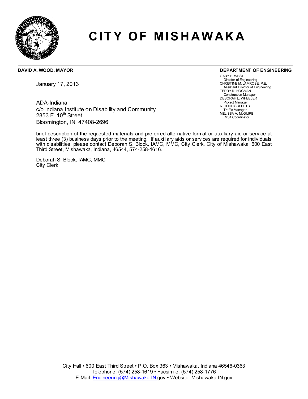

# **CITY OF MISHAWAKA**

### **DAVID A. WOOD, MAYOR**

January 17, 2013

ADA-Indiana c/o Indiana Institute on Disability and Community 2853 E.  $10^{th}$  Street Bloomington, IN 47408-2696

GARY E. WEST Director of Engineering CHRISTINE M. JAMROSE, P.E. Assistant Director of Engineering TERRY R. HOGMAN Construction Manager DEBORAH L. WHEELER

**DEPARTMENT OF ENGINEERING** 

 Project Manager R. TODD SCHEETS Traffic Manager MELISSA A. McGUIRE MS4 Coordinator

brief description of the requested materials and preferred alternative format or auxiliary aid or service at least three (3) business days prior to the meeting. If auxiliary aids or services are required for individuals with disabilities, please contact Deborah S. Block, IAMC, MMC, City Clerk, City of Mishawaka, 600 East Third Street, Mishawaka, Indiana, 46544, 574-258-1616.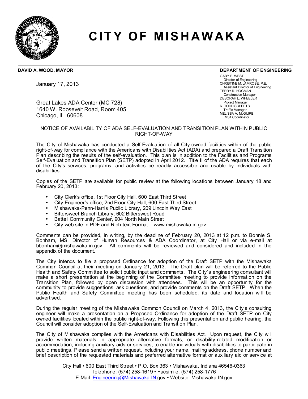

#### **DAVID A. WOOD, MAYOR**

### **DEPARTMENT OF ENGINEERING**

January 17, 2013

Great Lakes ADA Center (MC 728) 1640 W. Roosevelt Road, Room 405 Chicago, IL 60608

GARY E. WEST Director of Engineering CHRISTINE M. JAMROSE, P.E. Assistant Director of Engineering TERRY R. HOGMAN Construction Manager DEBORAH L. WHEELER Project Manager R. TODD SCHEETS Traffic Manager MELISSA A. McGUIRE MS4 Coordinator

### NOTICE OF AVAILABILITY OF ADA SELF-EVALUATION AND TRANSITION PLAN WITHIN PUBLIC RIGHT-OF-WAY

The City of Mishawaka has conducted a Self-Evaluation of all City-owned facilities within of the public right-of-way for compliance with the Americans with Disabilities Act (ADA) and prepared a Draft Transition Plan describing the results of the self-evaluation. This plan is in addition to the Facilities and Programs Self-Evaluation and Transition Plan (SETP) adopted in April 2012. Title II of the ADA requires that each of the City's services, programs, and activities be readily accessible and usable by individuals with disabilities.

Copies of the SETP are available for public review at the following locations between January 18 and February 20, 2013:

- City Clerk's office, 1st Floor City Hall, 600 East Third Street
- City Engineer's office, 2nd Floor City Hall, 600 East Third Street
- Mishawaka-Penn-Harris Public Library, 209 Lincoln Way East
- Bittersweet Branch Library, 602 Bittersweet Road
- Battell Community Center, 904 North Main Street
- City web site in PDF and Rich-text Format www.mishawaka.in.gov

Comments can be provided, in writing, by the deadline of February 20, 2013 at 12 p.m. to Bonnie S. Bonham, MS, Director of Human Resources & ADA Coordinator, at City Hall or via e-mail at bbonham@mishawaka.in.gov. All comments will be reviewed and considered and included in the appendix of the document.

The City intends to file a proposed Ordinance for adoption of the Draft SETP with the Mishawaka Common Council at their meeting on January 21, 2013. The Draft plan will be referred to the Public Health and Safety Committee to solicit public input and comments. The City's engineering consultant will make a short presentation at the beginning of the Committee meeting to provide information on the Transition Plan, followed by open discussion with attendees. This will be an opportunity for the community to provide suggestions, ask questions, and provide comments on the Draft SETP. When the Public Health and Safety Committee meeting has been scheduled, its date and location will be advertised.

During the regular meeting of the Mishawaka Common Council on March 4, 2013, the City's consulting engineer will make a presentation on a Proposed Ordinance for adoption of the Draft SETP on City owned facilities located within the public right-of-way. Following this presentation and public hearing, the Council will consider adoption of the Self-Evaluation and Transition Plan.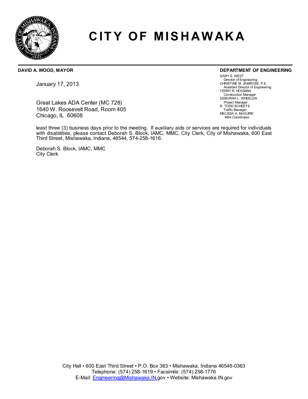

#### **DAVID A. WOOD, MAYOR**

January 17, 2013

Great Lakes ADA Center (MC 728) 1640 W. Roosevelt Road, Room 405 Chicago, IL 60608

GARY E. WEST Director of Engineering CHRISTINE M. JAMROSE, P.E. Assistant Director of Engineering TERRY R. HOGMAN Construction Manager DEBORAH L. WHEELER Project Manager R. TODD SCHEETS Traffic Manager MELISSA A. McGUIRE MS4 Coordinator

**DEPARTMENT OF ENGINEERING** 

least three (3) business days prior to the meeting. If auxiliary aids or services are required for individuals with disabilities, please contact Deborah S. Block, IAMC, MMC, City Clerk, City of Mishawaka, 600 East Third Street, Mishawaka, Indiana, 46544, 574-258-1616.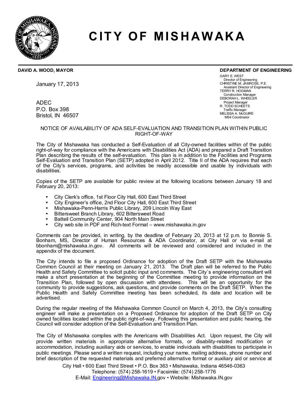

#### **DAVID A. WOOD, MAYOR**

### **DEPARTMENT OF ENGINEERING**

January 17, 2013

ADEC P.O. Box 398 Bristol, IN 46507 GARY E. WEST Director of Engineering CHRISTINE M. JAMROSE, P.E. Assistant Director of Engineering TERRY R. HOGMAN Construction Manager DEBORAH L. WHEELER Project Manager R. TODD SCHEETS Traffic Manager MELISSA A. McGUIRE MS4 Coordinator

### NOTICE OF AVAILABILITY OF ADA SELF-EVALUATION AND TRANSITION PLAN WITHIN PUBLIC RIGHT-OF-WAY

The City of Mishawaka has conducted a Self-Evaluation of all City-owned facilities within of the public right-of-way for compliance with the Americans with Disabilities Act (ADA) and prepared a Draft Transition Plan describing the results of the self-evaluation. This plan is in addition to the Facilities and Programs Self-Evaluation and Transition Plan (SETP) adopted in April 2012. Title II of the ADA requires that each of the City's services, programs, and activities be readily accessible and usable by individuals with disabilities.

Copies of the SETP are available for public review at the following locations between January 18 and February 20, 2013:

- City Clerk's office, 1st Floor City Hall, 600 East Third Street
- City Engineer's office, 2nd Floor City Hall, 600 East Third Street
- Mishawaka-Penn-Harris Public Library, 209 Lincoln Way East
- Bittersweet Branch Library, 602 Bittersweet Road
- Battell Community Center, 904 North Main Street
- City web site in PDF and Rich-text Format www.mishawaka.in.gov

Comments can be provided, in writing, by the deadline of February 20, 2013 at 12 p.m. to Bonnie S. Bonham, MS, Director of Human Resources & ADA Coordinator, at City Hall or via e-mail at bbonham@mishawaka.in.gov. All comments will be reviewed and considered and included in the appendix of the document.

The City intends to file a proposed Ordinance for adoption of the Draft SETP with the Mishawaka Common Council at their meeting on January 21, 2013. The Draft plan will be referred to the Public Health and Safety Committee to solicit public input and comments. The City's engineering consultant will make a short presentation at the beginning of the Committee meeting to provide information on the Transition Plan, followed by open discussion with attendees. This will be an opportunity for the community to provide suggestions, ask questions, and provide comments on the Draft SETP. When the Public Health and Safety Committee meeting has been scheduled, its date and location will be advertised.

During the regular meeting of the Mishawaka Common Council on March 4, 2013, the City's consulting engineer will make a presentation on a Proposed Ordinance for adoption of the Draft SETP on City owned facilities located within the public right-of-way. Following this presentation and public hearing, the Council will consider adoption of the Self-Evaluation and Transition Plan.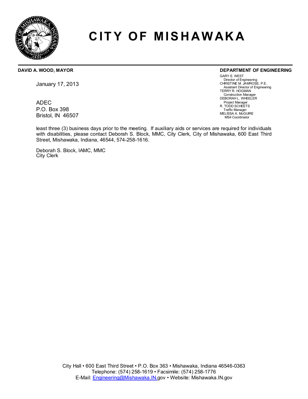

#### **DAVID A. WOOD, MAYOR**

January 17, 2013

ADEC P.O. Box 398 Bristol, IN 46507 GARY E. WEST Director of Engineering CHRISTINE M. JAMROSE, P.E. Assistant Director of Engineering TERRY R. HOGMAN Construction Manager DEBORAH L. WHEELER Project Manager R. TODD SCHEETS Traffic Manager MELISSA A. McGUIRE MS4 Coordinator

**DEPARTMENT OF ENGINEERING** 

least three (3) business days prior to the meeting. If auxiliary aids or services are required for individuals with disabilities, please contact Deborah S. Block, MMC, City Clerk, City of Mishawaka, 600 East Third Street, Mishawaka, Indiana, 46544, 574-258-1616.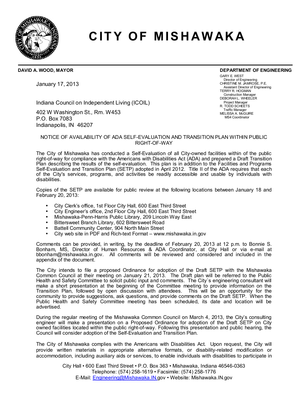

#### **DAVID A. WOOD, MAYOR**

January 17, 2013

Indiana Council on Independent Living (ICOIL)

402 W Washington St., Rm. W453 P.O. Box 7083 Indianapolis, IN 46207

#### **DEPARTMENT OF ENGINEERING**

GARY E. WEST Director of Engineering CHRISTINE M. JAMROSE, P.E. Assistant Director of Engineering TERRY R. HOGMAN Construction Manager DEBORAH L. WHEELER Project Manager R. TODD SCHEETS Traffic Manager **MELISSA A. McGUIRE** MS4 Coordinator

### NOTICE OF AVAILABILITY OF ADA SELF-EVALUATION AND TRANSITION PLAN WITHIN PUBLIC RIGHT-OF-WAY

The City of Mishawaka has conducted a Self-Evaluation of all City-owned facilities within of the public right-of-way for compliance with the Americans with Disabilities Act (ADA) and prepared a Draft Transition Plan describing the results of the self-evaluation. This plan is in addition to the Facilities and Programs Self-Evaluation and Transition Plan (SETP) adopted in April 2012. Title II of the ADA requires that each of the City's services, programs, and activities be readily accessible and usable by individuals with disabilities.

Copies of the SETP are available for public review at the following locations between January 18 and February 20, 2013:

- City Clerk's office, 1st Floor City Hall, 600 East Third Street
- City Engineer's office, 2nd Floor City Hall, 600 East Third Street
- Mishawaka-Penn-Harris Public Library, 209 Lincoln Way East
- Bittersweet Branch Library, 602 Bittersweet Road
- Battell Community Center, 904 North Main Street
- City web site in PDF and Rich-text Format www.mishawaka.in.gov

Comments can be provided, in writing, by the deadline of February 20, 2013 at 12 p.m. to Bonnie S. Bonham, MS, Director of Human Resources & ADA Coordinator, at City Hall or via e-mail at bbonham@mishawaka.in.gov. All comments will be reviewed and considered and included in the appendix of the document.

The City intends to file a proposed Ordinance for adoption of the Draft SETP with the Mishawaka Common Council at their meeting on January 21, 2013. The Draft plan will be referred to the Public Health and Safety Committee to solicit public input and comments. The City`s engineering consultant will make a short presentation at the beginning of the Committee meeting to provide information on the Transition Plan, followed by open discussion with attendees. This will be an opportunity for the community to provide suggestions, ask questions, and provide comments on the Draft SETP. When the Public Health and Safety Committee meeting has been scheduled, its date and location will be advertised.

During the regular meeting of the Mishawaka Common Council on March 4, 2013, the City's consulting engineer will make a presentation on a Proposed Ordinance for adoption of the Draft SETP on City owned facilities located within the public right-of-way. Following this presentation and public hearing, the Council will consider adoption of the Self-Evaluation and Transition Plan.

The City of Mishawaka complies with the Americans with Disabilities Act. Upon request, the City will provide written materials in appropriate alternative formats, or disability-related modification or accommodation, including auxiliary aids or services, to enable individuals with disabilities to participate in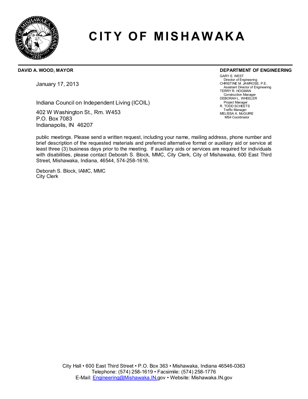

### **DAVID A. WOOD, MAYOR**

January 17, 2013

Indiana Council on Independent Living (ICOIL)

402 W Washington St., Rm. W453 P.O. Box 7083 Indianapolis, IN 46207

GARY E. WEST Director of Engineering CHRISTINE M. JAMROSE, P.E. Assistant Director of Engineering TERRY R. HOGMAN Construction Manager DEBORAH L. WHEELER Project Manager R. TODD SCHEETS Traffic Manager MELISSA A. McGUIRE MS4 Coordinator

**DEPARTMENT OF ENGINEERING** 

public meetings. Please send a written request, including your name, mailing address, phone number and brief description of the requested materials and preferred alternative format or auxiliary aid or service at least three (3) business days prior to the meeting. If auxiliary aids or services are required for individuals with disabilities, please contact Deborah S. Block, MMC, City Clerk, City of Mishawaka, 600 East Third Street, Mishawaka, Indiana, 46544, 574-258-1616.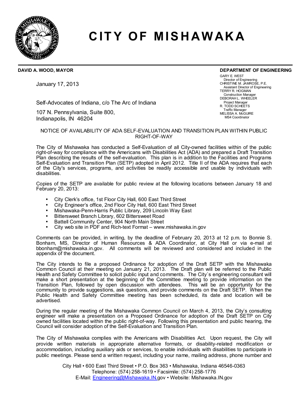

#### **DAVID A. WOOD, MAYOR**

January 17, 2013

Self-Advocates of Indiana, c/o The Arc of Indiana

107 N. Pennsylvania, Suite 800, Indianapolis, IN 46204

### NOTICE OF AVAILABILITY OF ADA SELF-EVALUATION AND TRANSITION PLAN WITHIN PUBLIC RIGHT-OF-WAY

The City of Mishawaka has conducted a Self-Evaluation of all City-owned facilities within of the public right-of-way for compliance with the Americans with Disabilities Act (ADA) and prepared a Draft Transition Plan describing the results of the self-evaluation. This plan is in addition to the Facilities and Programs Self-Evaluation and Transition Plan (SETP) adopted in April 2012. Title II of the ADA requires that each of the City's services, programs, and activities be readily accessible and usable by individuals with disabilities.

Copies of the SETP are available for public review at the following locations between January 18 and February 20, 2013:

- City Clerk's office, 1st Floor City Hall, 600 East Third Street
- City Engineer's office, 2nd Floor City Hall, 600 East Third Street
- Mishawaka-Penn-Harris Public Library, 209 Lincoln Way East
- Bittersweet Branch Library, 602 Bittersweet Road
- Battell Community Center, 904 North Main Street
- City web site in PDF and Rich-text Format www.mishawaka.in.gov

Comments can be provided, in writing, by the deadline of February 20, 2013 at 12 p.m. to Bonnie S. Bonham, MS, Director of Human Resources & ADA Coordinator, at City Hall or via e-mail at bbonham@mishawaka.in.gov. All comments will be reviewed and considered and included in the appendix of the document.

The City intends to file a proposed Ordinance for adoption of the Draft SETP with the Mishawaka Common Council at their meeting on January 21, 2013. The Draft plan will be referred to the Public Health and Safety Committee to solicit public input and comments. The City`s engineering consultant will make a short presentation at the beginning of the Committee meeting to provide information on the Transition Plan, followed by open discussion with attendees. This will be an opportunity for the community to provide suggestions, ask questions, and provide comments on the Draft SETP. When the Public Health and Safety Committee meeting has been scheduled, its date and location will be advertised.

During the regular meeting of the Mishawaka Common Council on March 4, 2013, the City's consulting engineer will make a presentation on a Proposed Ordinance for adoption of the Draft SETP on City owned facilities located within the public right-of-way. Following this presentation and public hearing, the Council will consider adoption of the Self-Evaluation and Transition Plan.

The City of Mishawaka complies with the Americans with Disabilities Act. Upon request, the City will provide written materials in appropriate alternative formats, or disability-related modification or accommodation, including auxiliary aids or services, to enable individuals with disabilities to participate in public meetings. Please send a written request, including your name, mailing address, phone number and

> City Hall • 600 East Third Street • P.O. Box 363 • Mishawaka, Indiana 46546-0363 Telephone: (574) 258-1619 • Facsimile: (574) 258-1776 E-Mail: Engineering@Mishawaka.IN.gov • Website: Mishawaka.IN.gov

### **DEPARTMENT OF ENGINEERING**

GARY E. WEST Director of Engineering CHRISTINE M. JAMROSE, P.E. Assistant Director of Engineering TERRY R. HOGMAN Construction Manager DEBORAH L. WHEELER Project Manager R. TODD SCHEETS Traffic Manager **MELISSA A. McGUIRE** MS4 Coordinator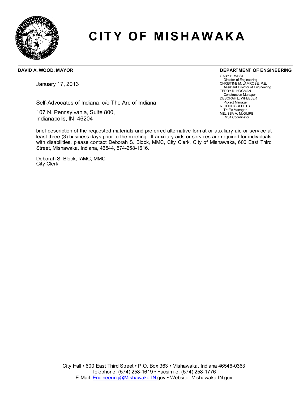

# **CITY OF MISHAWAKA**

### **DAVID A. WOOD, MAYOR**

January 17, 2013

Self-Advocates of Indiana, c/o The Arc of Indiana

107 N. Pennsylvania, Suite 800, Indianapolis, IN 46204

brief description of the requested materials and preferred alternative format or auxiliary aid or service at least three (3) business days prior to the meeting. If auxiliary aids or services are required for individuals with disabilities, please contact Deborah S. Block, MMC, City Clerk, City of Mishawaka, 600 East Third Street, Mishawaka, Indiana, 46544, 574-258-1616.

Deborah S. Block, IAMC, MMC City Clerk

#### **DEPARTMENT OF ENGINEERING**

GARY E. WEST Director of Engineering CHRISTINE M. JAMROSE, P.E. Assistant Director of Engineering TERRY R. HOGMAN Construction Manager DEBORAH L. WHEELER Project Manager R. TODD SCHEETS Traffic Manager MELISSA A. McGUIRE MS4 Coordinator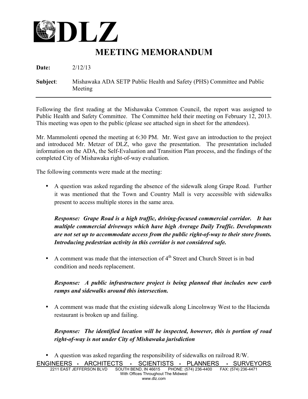

### **MEETING MEMORANDUM**

**Date:** 2/12/13

**Subject**: Mishawaka ADA SETP Public Health and Safety (PHS) Committee and Public Meeting

Following the first reading at the Mishawaka Common Council, the report was assigned to Public Health and Safety Committee. The Committee held their meeting on February 12, 2013. This meeting was open to the public (please see attached sign in sheet for the attendees).

Mr. Mammolenti opened the meeting at 6:30 PM. Mr. West gave an introduction to the project and introduced Mr. Metzer of DLZ, who gave the presentation. The presentation included information on the ADA, the Self-Evaluation and Transition Plan process, and the findings of the completed City of Mishawaka right-of-way evaluation.

The following comments were made at the meeting:

• A question was asked regarding the absence of the sidewalk along Grape Road. Further it was mentioned that the Town and Country Mall is very accessible with sidewalks present to access multiple stores in the same area.

*Response: Grape Road is a high traffic, driving-focused commercial corridor. It has multiple commercial driveways which have high Average Daily Traffic. Developments are not set up to accommodate access from the public right-of-way to their store fronts. Introducing pedestrian activity in this corridor is not considered safe.* 

• A comment was made that the intersection of  $4<sup>th</sup>$  Street and Church Street is in bad condition and needs replacement.

*Response: A public infrastructure project is being planned that includes new curb ramps and sidewalks around this intersection.* 

• A comment was made that the existing sidewalk along Lincolnway West to the Hacienda restaurant is broken up and failing.

*Response: The identified location will be inspected, however, this is portion of road right-of-way is not under City of Mishawaka jurisdiction* 

ENGINEERS • ARCHITECTS • SCIENTISTS• PLANNERS • SURVEYORS PHONE: (574) 236-4400 FAX: (574) 236-4471 With Offices Throughout The Midwest • A question was asked regarding the responsibility of sidewalks on railroad R/W.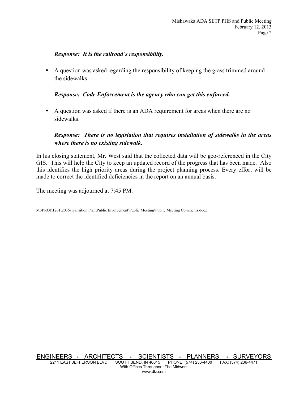### *Response: It is the railroad`s responsibility.*

• A question was asked regarding the responsibility of keeping the grass trimmed around the sidewalks

### *Response: Code Enforcement is the agency who can get this enforced.*

• A question was asked if there is an ADA requirement for areas when there are no sidewalks.

### *Response: There is no legislation that requires installation of sidewalks in the areas where there is no existing sidewalk.*

In his closing statement, Mr. West said that the collected data will be geo-referenced in the City GIS. This will help the City to keep an updated record of the progress that has been made. Also this identifies the high priority areas during the project planning process. Every effort will be made to correct the identified deficiencies in the report on an annual basis.

The meeting was adjourned at 7:45 PM.

M:\PROJ\1261\2036\Transition Plan\Public Involvement\Public Meeting\Public Meeting Comments.docx

ENGINEERS • ARCHITECTS • SCIENTISTS• PLANNERS • SURVEYORS PHONE: (574) 236-4400 FAX: (574) 236-4471 With Offices Throughout The Midwest www.dlz.com